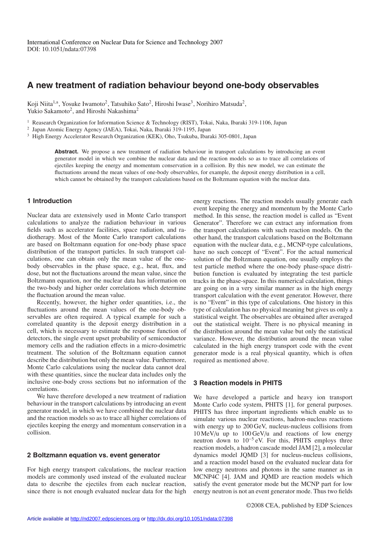# **A new treatment of radiation behaviour beyond one-body observables**

Koji Niita<sup>1,a</sup>, Yosuke Iwamoto<sup>2</sup>, Tatsuhiko Sato<sup>2</sup>, Hiroshi Iwase<sup>3</sup>, Norihiro Matsuda<sup>2</sup>, Yukio Sakamoto<sup>2</sup>, and Hiroshi Nakashima<sup>2</sup>

<sup>1</sup> Reasearch Organization for Information Science & Technology (RIST), Tokai, Naka, Ibaraki 319-1106, Japan

<sup>2</sup> Japan Atomic Energy Agency (JAEA), Tokai, Naka, Ibaraki 319-1195, Japan

<sup>3</sup> High Energy Accelerator Research Organization (KEK), Oho, Tsukuba, Ibaraki 305-0801, Japan

Abstract. We propose a new treatment of radiation behaviour in transport calculations by introducing an event generator model in which we combine the nuclear data and the reaction models so as to trace all correlations of ejectiles keeping the energy and momentum conservation in a collision. By this new model, we can estimate the fluctuations around the mean values of one-body observables, for example, the deposit energy distribution in a cell, which cannot be obtained by the transport calculations based on the Boltzmann equation with the nuclear data.

## **1 Introduction**

Nuclear data are extensively used in Monte Carlo transport calculations to analyze the radiation behaviour in various fields such as accelerator facilities, space radiation, and radiotherapy. Most of the Monte Carlo transport calculations are based on Boltzmann equation for one-body phase space distribution of the transport particles. In such transport calculations, one can obtain only the mean value of the onebody observables in the phase space, e.g., heat, flux, and dose, but not the fluctuations around the mean value, since the Boltzmann equation, nor the nuclear data has information on the two-body and higher order correlations which determine the fluctuation around the mean value.

Recently, however, the higher order quantities, i.e., the fluctuations around the mean values of the one-body observables are often required. A typical example for such a correlated quantity is the deposit energy distribution in a cell, which is necessary to estimate the response function of detectors, the single event upset probability of semiconductor memory cells and the radiation effects in a micro-dosimetric treatment. The solution of the Boltzmann equation cannot describe the distribution but only the mean value. Furthermore, Monte Carlo calculations using the nuclear data cannot deal with these quantities, since the nuclear data includes only the inclusive one-body cross sections but no information of the correlations.

We have therefore developed a new treatment of radiation behaviour in the transport calculations by introducing an event generator model, in which we have combined the nuclear data and the reaction models so as to trace all higher correlations of ejectiles keeping the energy and momentum conservation in a collision.

### **2 Boltzmann equation vs. event generator**

For high energy transport calculations, the nuclear reaction models are commonly used instead of the evaluated nuclear data to describe the ejectiles from each nuclear reaction, since there is not enough evaluated nuclear data for the high energy reactions. The reaction models usually generate each event keeping the energy and momentum by the Monte Carlo method. In this sense, the reaction model is called as "Event Generator". Therefore we can extract any information from the transport calculations with such reaction models. On the other hand, the transport calculations based on the Boltzmann equation with the nuclear data, e.g., MCNP-type calculations, have no such concept of "Event". For the actual numerical solution of the Boltzmann equation, one usually employs the test particle method where the one-body phase-space distribution function is evaluated by integrating the test particle tracks in the phase-space. In this numerical calculation, things are going on in a very similar manner as in the high energy transport calculation with the event generator. However, there is no "Event" in this type of calculations. One history in this type of calculation has no physical meaning but gives us only a statistical weight. The observables are obtained after averaged out the statistical weight. There is no physical meaning in the distribution around the mean value but only the statistical variance. However, the distribution around the mean value calculated in the high energy transport code with the event generator mode is a real physical quantity, which is often required as mentioned above.

## **3 Reaction models in PHITS**

We have developed a particle and heavy ion transport Monte Carlo code system, PHITS [1], for general purposes. PHITS has three important ingredients which enable us to simulate various nuclear reactions, hadron-nucleus reactions with energy up to 200 GeV, nucleus-nucleus collisions from 10 MeV/u up to 100 GeV/u and reactions of low energy neutron down to  $10^{-5}$  eV. For this, PHITS employs three reaction models, a hadron cascade model JAM [2], a molecular dynamics model JQMD [3] for nucleus-nucleus collisions, and a reaction model based on the evaluated nuclear data for low energy neutrons and photons in the same manner as in MCNP4C [4]. JAM and JQMD are reaction models which satisfy the event generator mode but the MCNP part for low energy neutron is not an event generator mode. Thus two fields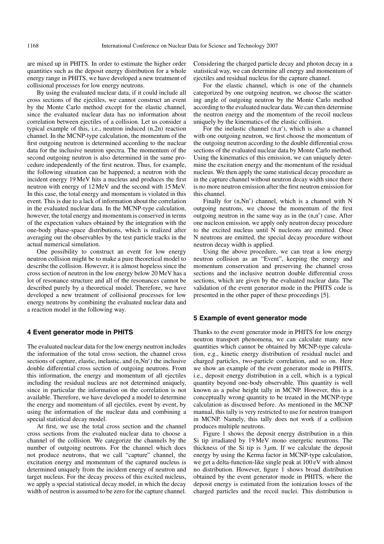are mixed up in PHITS. In order to estimate the higher order quantities such as the deposit energy distribution for a whole energy range in PHITS, we have developed a new treatment of collisional processes for low energy neutrons.

By using the evaluated nuclear data, if it could include all cross sections of the ejectiles, we cannot construct an event by the Monte Carlo method except for the elastic channel, since the evaluated nuclear data has no information about correlation between ejectiles of a collision. Let us consider a typical example of this, i.e., neutron induced (n,2n) reaction channel. In the MCNP-type calculation, the momentum of the first outgoing neutron is determined according to the nuclear data for the inclusive neutron spectra. The momentum of the second outgoing neutron is also determined in the same procedure independently of the first neutron. Thus, for example, the following situation can be happened; a neutron with the incident energy 19 MeV hits a nucleus and produces the first neutron with energy of 12 MeV and the second with 15 MeV. In this case, the total energy and momentum is violated in this event. This is due to a lack of information about the correlation in the evaluated nuclear data. In the MCNP-type calculation, however, the total energy and momentum is conserved in terms of the expectation values obtained by the integration with the one-body phase-space distributions, which is realized after averaging out the observables by the test particle tracks in the actual numerical simulation.

One possibility to construct an event for low energy neutron collision might be to make a pure theoretical model to describe the collision. However, it is almost hopeless since the cross section of neutron in the low energy below 20 MeV has a lot of resonance structure and all of the resonances cannot be described purely by a theoretical model. Therefore, we have developed a new treatment of collisional processes for low energy neutrons by combining the evaluated nuclear data and a reaction model in the following way.

#### **4 Event generator mode in PHITS**

The evaluated nuclear data for the low energy neutron includes the information of the total cross section, the channel cross sections of capture, elastic, inelastic, and  $(n, Nn')$  the inclusive double differential cross section of outgoing neutrons. From this information, the energy and momentum of all ejectiles including the residual nucleus are not determined uniquely, since in particular the information on the correlation is not available. Therefore, we have developed a model to determine the energy and momentum of all ejectiles, event by event, by using the information of the nuclear data and combining a special statistical decay model.

At first, we use the total cross section and the channel cross sections from the evaluated nuclear data to choose a channel of the collision. We categorize the channels by the number of outgoing neutrons. For the channel which does not produce neutrons, that we call "capture" channel, the excitation energy and momentum of the captured nucleus is determined uniquely from the incident energy of neutron and target nucleus. For the decay process of this excited nucleus, we apply a special statistical decay model, in which the decay width of neutron is assumed to be zero for the capture channel.

Considering the charged particle decay and photon decay in a statistical way, we can determine all energy and momentum of ejectiles and residual nucleus for the capture channel.

For the elastic channel, which is one of the channels categorized by one outgoing neutron, we choose the scattering angle of outgoing neutron by the Monte Carlo method according to the evaluated nuclear data. We can then determine the neutron energy and the momentum of the recoil nucleus uniquely by the kinematics of the elastic collision.

For the inelastic channel (n,n ), which is also a channel with one outgoing neutron, we first choose the momentum of the outgoing neutron according to the double differential cross sections of the evaluated nuclear data by Monte Carlo method. Using the kinematics of this emission, we can uniquely determine the excitation energy and the momentum of the residual nucleus. We then apply the same statistical decay procedure as in the capture channel without neutron decay width since there is no more neutron emission after the first neutron emission for this channel.

Finally for (n,Nn ) channel, which is a channel with N outgoing neutrons, we choose the momentum of the first outgoing neutron in the same way as in the (n,n ) case. After one nucleon emission, we apply only neutron decay procedure to the excited nucleus until N nucleons are emitted. Once N neutrons are emitted, the special decay procedure without neutron decay width is applied.

Using the above procedure, we can treat a low energy neutron collision as an "Event", keeping the energy and momentum conservation and preserving the channel cross sections and the inclusive neutron double differential cross sections, which are given by the evaluated nuclear data. The validation of the event generator mode in the PHITS code is presented in the other paper of these proceedings [5].

## **5 Example of event generator mode**

Thanks to the event generator mode in PHITS for low energy neutron transport phenomena, we can calculate many new quantities which cannot be obtained by MCNP-type calculation, e.g., kinetic energy distribution of residual nuclei and charged particles, two-particle correlation, and so on. Here we show an example of the event generator mode in PHITS, i.e., deposit energy distribution in a cell, which is a typical quantity beyond one-body observable. This quantity is well known as a pulse height tally in MCNP. However, this is a conceptually wrong quantity to be treated in the MCNP-type calculation as discussed before. As mentioned in the MCNP manual, this tally is very restricted to use for neutron transport in MCNP. Namely, this tally does not work if a collision produces multiple neutrons.

Figure 1 shows the deposit energy distribution in a thin Si tip irradiated by 19 MeV mono energetic neutrons. The thickness of the Si tip is  $3 \mu$ m. If we calculate the deposit energy by using the Kerma factor in MCNP-type calculation, we get a delta-function-like single peak at 100 eV with almost no distribution. However, figure 1 shows broad distribution obtained by the event generator mode in PHITS, where the deposit energy is estimated from the ionization losses of the charged particles and the recoil nuclei. This distribution is